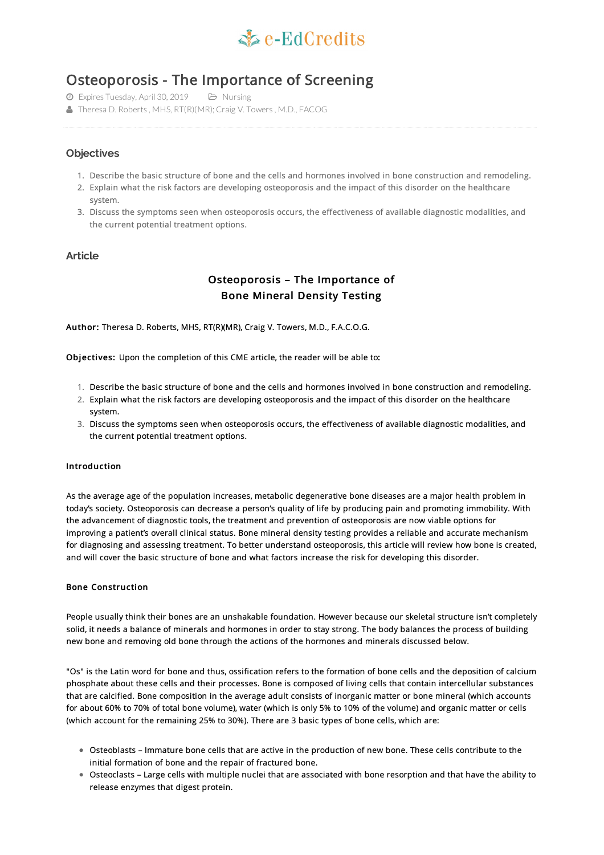

# Osteoporosis - The Importance of Screening

Expires Tuesday, April 30, 2019 Nursing

Theresa D. Roberts, MHS, RT(R)(MR); Craig V. Towers, M.D., FACOG

# **Objectives**

- 1. Describe the basic structure of bone and the cells and hormones involved in bone construction and remodeling.
- 2. Explain what the risk factors are developing osteoporosis and the impact of this disorder on the healthcare system.
- 3. Discuss the symptoms seen when osteoporosis occurs, the effectiveness of available diagnostic modalities, and the current potential treatment options.

## **Article**

# Osteoporosis – The Importance of Bone Mineral Density Testing

Author: Theresa D. Roberts, MHS, RT(R)(MR), Craig V. Towers, M.D., F.A.C.O.G.

Objectives: Upon the completion of this CME article, the reader will be able to:

- 1. Describe the basic structure of bone and the cells and hormones involved in bone construction and remodeling.
- 2. Explain what the risk factors are developing osteoporosis and the impact of this disorder on the healthcare system.
- 3. Discuss the symptoms seen when osteoporosis occurs, the effectiveness of available diagnostic modalities, and the current potential treatment options.

#### Introduction

As the average age of the population increases, metabolic degenerative bone diseases are a major health problem in today's society. Osteoporosis can decrease a person's quality of life by producing pain and promoting immobility. With the advancement of diagnostic tools, the treatment and prevention of osteoporosis are now viable options for improving a patient's overall clinical status. Bone mineral density testing provides a reliable and accurate mechanism for diagnosing and assessing treatment. To better understand osteoporosis, this article will review how bone is created, and will cover the basic structure of bone and what factors increase the risk for developing this disorder.

#### Bone Construction

People usually think their bones are an unshakable foundation. However because our skeletal structure isn't completely solid, it needs a balance of minerals and hormones in order to stay strong. The body balances the process of building new bone and removing old bone through the actions of the hormones and minerals discussed below.

"Os" is the Latin word for bone and thus, ossification refers to the formation of bone cells and the deposition of calcium phosphate about these cells and their processes. Bone is composed of living cells that contain intercellular substances that are calcified. Bone composition in the average adult consists of inorganic matter or bone mineral (which accounts for about 60% to 70% of total bone volume), water (which is only 5% to 10% of the volume) and organic matter or cells (which account for the remaining 25% to 30%). There are 3 basic types of bone cells, which are:

- Osteoblasts Immature bone cells that are active in the production of new bone. These cells contribute to the initial formation of bone and the repair of fractured bone.
- Osteoclasts Large cells with multiple nuclei that are associated with bone resorption and that have the ability to release enzymes that digest protein.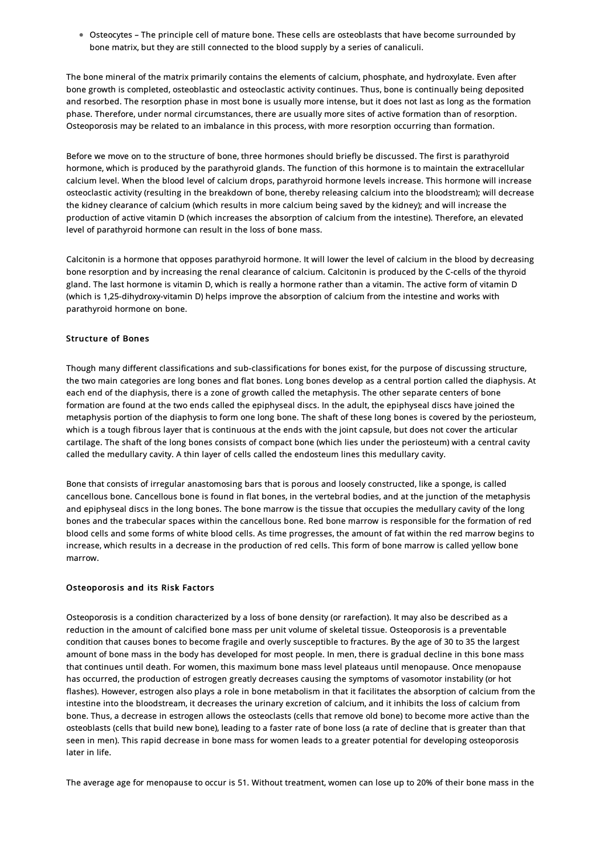Osteocytes – The principle cell of mature bone. These cells are osteoblasts that have become surrounded by bone matrix, but they are still connected to the blood supply by a series of canaliculi.

The bone mineral of the matrix primarily contains the elements of calcium, phosphate, and hydroxylate. Even after bone growth is completed, osteoblastic and osteoclastic activity continues. Thus, bone is continually being deposited and resorbed. The resorption phase in most bone is usually more intense, but it does not last as long as the formation phase. Therefore, under normal circumstances, there are usually more sites of active formation than of resorption. Osteoporosis may be related to an imbalance in this process, with more resorption occurring than formation.

Before we move on to the structure of bone, three hormones should briefly be discussed. The first is parathyroid hormone, which is produced by the parathyroid glands. The function of this hormone is to maintain the extracellular calcium level. When the blood level of calcium drops, parathyroid hormone levels increase. This hormone will increase osteoclastic activity (resulting in the breakdown of bone, thereby releasing calcium into the bloodstream); will decrease the kidney clearance of calcium (which results in more calcium being saved by the kidney); and will increase the production of active vitamin D (which increases the absorption of calcium from the intestine). Therefore, an elevated level of parathyroid hormone can result in the loss of bone mass.

Calcitonin is a hormone that opposes parathyroid hormone. It will lower the level of calcium in the blood by decreasing bone resorption and by increasing the renal clearance of calcium. Calcitonin is produced by the C-cells of the thyroid gland. The last hormone is vitamin D, which is really a hormone rather than a vitamin. The active form of vitamin D (which is 1,25-dihydroxy-vitamin D) helps improve the absorption of calcium from the intestine and works with parathyroid hormone on bone.

#### Structure of Bones

Though many different classifications and sub-classifications for bones exist, for the purpose of discussing structure, the two main categories are long bones and flat bones. Long bones develop as a central portion called the diaphysis. At each end of the diaphysis, there is a zone of growth called the metaphysis. The other separate centers of bone formation are found at the two ends called the epiphyseal discs. In the adult, the epiphyseal discs have joined the metaphysis portion of the diaphysis to form one long bone. The shaft of these long bones is covered by the periosteum, which is a tough fibrous layer that is continuous at the ends with the joint capsule, but does not cover the articular cartilage. The shaft of the long bones consists of compact bone (which lies under the periosteum) with a central cavity called the medullary cavity. A thin layer of cells called the endosteum lines this medullary cavity.

Bone that consists of irregular anastomosing bars that is porous and loosely constructed, like a sponge, is called cancellous bone. Cancellous bone is found in flat bones, in the vertebral bodies, and at the junction of the metaphysis and epiphyseal discs in the long bones. The bone marrow is the tissue that occupies the medullary cavity of the long bones and the trabecular spaces within the cancellous bone. Red bone marrow is responsible for the formation of red blood cells and some forms of white blood cells. As time progresses, the amount of fat within the red marrow begins to increase, which results in a decrease in the production of red cells. This form of bone marrow is called yellow bone marrow.

#### Osteoporosis and its Risk Factors

Osteoporosis is a condition characterized by a loss of bone density (or rarefaction). It may also be described as a reduction in the amount of calcified bone mass per unit volume of skeletal tissue. Osteoporosis is a preventable condition that causes bones to become fragile and overly susceptible to fractures. By the age of 30 to 35 the largest amount of bone mass in the body has developed for most people. In men, there is gradual decline in this bone mass that continues until death. For women, this maximum bone mass level plateaus until menopause. Once menopause has occurred, the production of estrogen greatly decreases causing the symptoms of vasomotor instability (or hot flashes). However, estrogen also plays a role in bone metabolism in that it facilitates the absorption of calcium from the intestine into the bloodstream, it decreases the urinary excretion of calcium, and it inhibits the loss of calcium from bone. Thus, a decrease in estrogen allows the osteoclasts (cells that remove old bone) to become more active than the osteoblasts (cells that build new bone), leading to a faster rate of bone loss (a rate of decline that is greater than that seen in men). This rapid decrease in bone mass for women leads to a greater potential for developing osteoporosis later in life.

The average age for menopause to occur is 51. Without treatment, women can lose up to 20% of their bone mass in the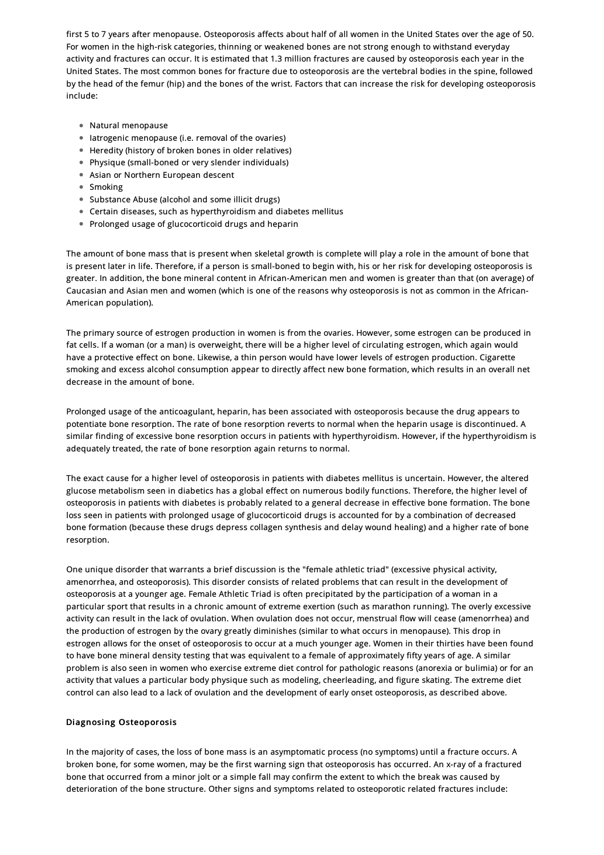first 5 to 7 years after menopause. Osteoporosis affects about half of all women in the United States over the age of 50. For women in the high-risk categories, thinning or weakened bones are not strong enough to withstand everyday activity and fractures can occur. It is estimated that 1.3 million fractures are caused by osteoporosis each year in the United States. The most common bones for fracture due to osteoporosis are the vertebral bodies in the spine, followed by the head of the femur (hip) and the bones of the wrist. Factors that can increase the risk for developing osteoporosis include:

- Natural menopause
- Iatrogenic menopause (i.e. removal of the ovaries)
- Heredity (history of broken bones in older relatives)
- Physique (small-boned or very slender individuals)
- Asian or Northern European descent
- Smoking
- Substance Abuse (alcohol and some illicit drugs)
- Certain diseases, such as hyperthyroidism and diabetes mellitus
- Prolonged usage of glucocorticoid drugs and heparin

The amount of bone mass that is present when skeletal growth is complete will play a role in the amount of bone that is present later in life. Therefore, if a person is small-boned to begin with, his or her risk for developing osteoporosis is greater. In addition, the bone mineral content in African-American men and women is greater than that (on average) of Caucasian and Asian men and women (which is one of the reasons why osteoporosis is not as common in the African-American population).

The primary source of estrogen production in women is from the ovaries. However, some estrogen can be produced in fat cells. If a woman (or a man) is overweight, there will be a higher level of circulating estrogen, which again would have a protective effect on bone. Likewise, a thin person would have lower levels of estrogen production. Cigarette smoking and excess alcohol consumption appear to directly affect new bone formation, which results in an overall net decrease in the amount of bone.

Prolonged usage of the anticoagulant, heparin, has been associated with osteoporosis because the drug appears to potentiate bone resorption. The rate of bone resorption reverts to normal when the heparin usage is discontinued. A similar finding of excessive bone resorption occurs in patients with hyperthyroidism. However, if the hyperthyroidism is adequately treated, the rate of bone resorption again returns to normal.

The exact cause for a higher level of osteoporosis in patients with diabetes mellitus is uncertain. However, the altered glucose metabolism seen in diabetics has a global effect on numerous bodily functions. Therefore, the higher level of osteoporosis in patients with diabetes is probably related to a general decrease in effective bone formation. The bone loss seen in patients with prolonged usage of glucocorticoid drugs is accounted for by a combination of decreased bone formation (because these drugs depress collagen synthesis and delay wound healing) and a higher rate of bone resorption.

One unique disorder that warrants a brief discussion is the "female athletic triad" (excessive physical activity, amenorrhea, and osteoporosis). This disorder consists of related problems that can result in the development of osteoporosis at a younger age. Female Athletic Triad is often precipitated by the participation of a woman in a particular sport that results in a chronic amount of extreme exertion (such as marathon running). The overly excessive activity can result in the lack of ovulation. When ovulation does not occur, menstrual flow will cease (amenorrhea) and the production of estrogen by the ovary greatly diminishes (similar to what occurs in menopause). This drop in estrogen allows for the onset of osteoporosis to occur at a much younger age. Women in their thirties have been found to have bone mineral density testing that was equivalent to a female of approximately fifty years of age. A similar problem is also seen in women who exercise extreme diet control for pathologic reasons (anorexia or bulimia) or for an activity that values a particular body physique such as modeling, cheerleading, and figure skating. The extreme diet control can also lead to a lack of ovulation and the development of early onset osteoporosis, as described above.

#### Diagnosing Osteoporosis

In the majority of cases, the loss of bone mass is an asymptomatic process (no symptoms) until a fracture occurs. A broken bone, for some women, may be the first warning sign that osteoporosis has occurred. An x-ray of a fractured bone that occurred from a minor jolt or a simple fall may confirm the extent to which the break was caused by deterioration of the bone structure. Other signs and symptoms related to osteoporotic related fractures include: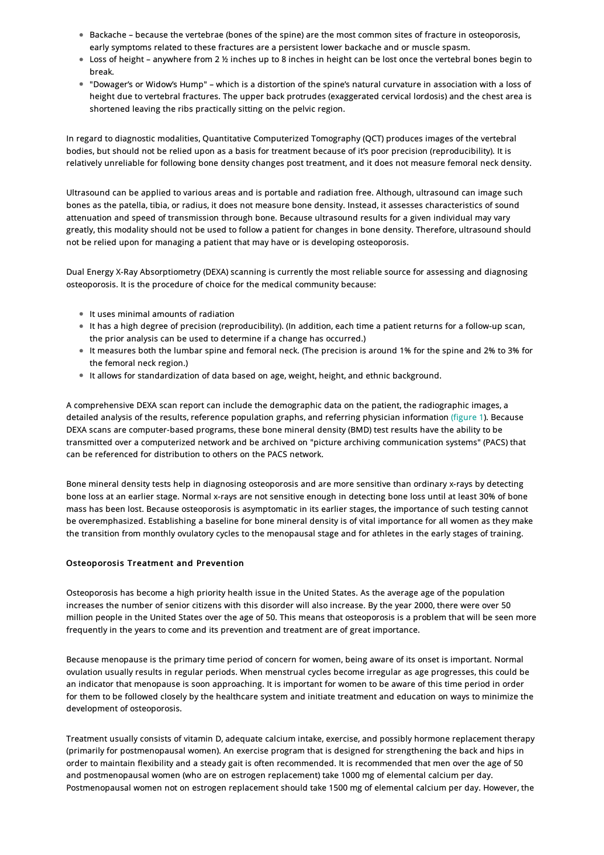- Backache because the vertebrae (bones of the spine) are the most common sites of fracture in osteoporosis, early symptoms related to these fractures are a persistent lower backache and or muscle spasm.
- Loss of height anywhere from 2 ½ inches up to 8 inches in height can be lost once the vertebral bones begin to break.
- "Dowager's or Widow's Hump" which is a distortion of the spine's natural curvature in association with a loss of height due to vertebral fractures. The upper back protrudes (exaggerated cervical lordosis) and the chest area is shortened leaving the ribs practically sitting on the pelvic region.

In regard to diagnostic modalities, Quantitative Computerized Tomography (QCT) produces images of the vertebral bodies, but should not be relied upon as a basis for treatment because of it's poor precision (reproducibility). It is relatively unreliable for following bone density changes post treatment, and it does not measure femoral neck density.

Ultrasound can be applied to various areas and is portable and radiation free. Although, ultrasound can image such bones as the patella, tibia, or radius, it does not measure bone density. Instead, it assesses characteristics of sound attenuation and speed of transmission through bone. Because ultrasound results for a given individual may vary greatly, this modality should not be used to follow a patient for changes in bone density. Therefore, ultrasound should not be relied upon for managing a patient that may have or is developing osteoporosis.

Dual Energy X-Ray Absorptiometry (DEXA) scanning is currently the most reliable source for assessing and diagnosing osteoporosis. It is the procedure of choice for the medical community because:

- It uses minimal amounts of radiation
- It has a high degree of precision (reproducibility). (In addition, each time a patient returns for a follow-up scan, the prior analysis can be used to determine if a change has occurred.)
- It measures both the lumbar spine and femoral neck. (The precision is around 1% for the spine and 2% to 3% for the femoral neck region.)
- It allows for standardization of data based on age, weight, height, and ethnic background.

A comprehensive DEXA scan report can include the demographic data on the patient, the radiographic images, a detailed analysis of the results, reference population graphs, and referring physician information [\(figure](#page-4-0) 1). Because DEXA scans are computer-based programs, these bone mineral density (BMD) test results have the ability to be transmitted over a computerized network and be archived on "picture archiving communication systems" (PACS) that can be referenced for distribution to others on the PACS network.

Bone mineral density tests help in diagnosing osteoporosis and are more sensitive than ordinary x-rays by detecting bone loss at an earlier stage. Normal x-rays are not sensitive enough in detecting bone loss until at least 30% of bone mass has been lost. Because osteoporosis is asymptomatic in its earlier stages, the importance of such testing cannot be overemphasized. Establishing a baseline for bone mineral density is of vital importance for all women as they make the transition from monthly ovulatory cycles to the menopausal stage and for athletes in the early stages of training.

## Osteoporosis Treatment and Prevention

Osteoporosis has become a high priority health issue in the United States. As the average age of the population increases the number of senior citizens with this disorder will also increase. By the year 2000, there were over 50 million people in the United States over the age of 50. This means that osteoporosis is a problem that will be seen more frequently in the years to come and its prevention and treatment are of great importance.

Because menopause is the primary time period of concern for women, being aware of its onset is important. Normal ovulation usually results in regular periods. When menstrual cycles become irregular as age progresses, this could be an indicator that menopause is soon approaching. It is important for women to be aware of this time period in order for them to be followed closely by the healthcare system and initiate treatment and education on ways to minimize the development of osteoporosis.

Treatment usually consists of vitamin D, adequate calcium intake, exercise, and possibly hormone replacement therapy (primarily for postmenopausal women). An exercise program that is designed for strengthening the back and hips in order to maintain flexibility and a steady gait is often recommended. It is recommended that men over the age of 50 and postmenopausal women (who are on estrogen replacement) take 1000 mg of elemental calcium per day. Postmenopausal women not on estrogen replacement should take 1500 mg of elemental calcium per day. However, the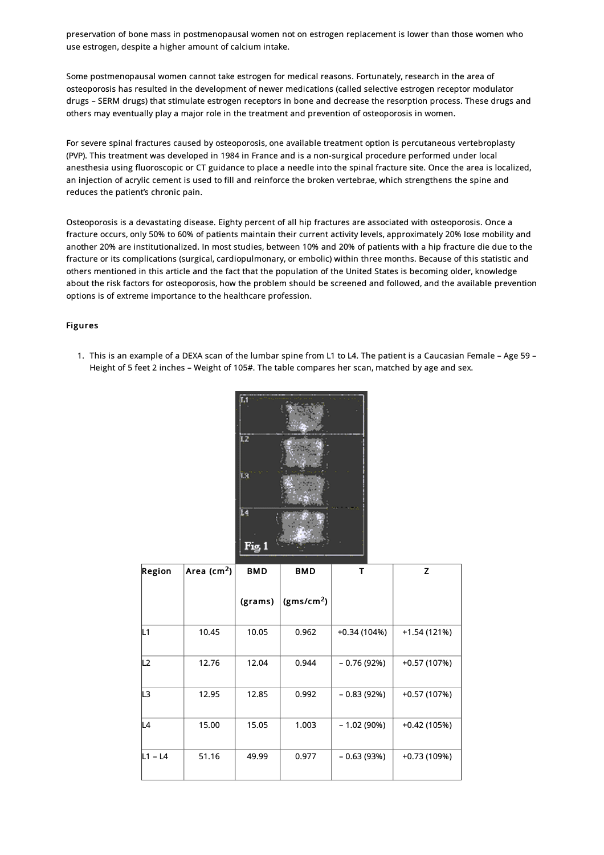preservation of bone mass in postmenopausal women not on estrogen replacement is lower than those women who use estrogen, despite a higher amount of calcium intake.

Some postmenopausal women cannot take estrogen for medical reasons. Fortunately, research in the area of osteoporosis has resulted in the development of newer medications (called selective estrogen receptor modulator drugs – SERM drugs) that stimulate estrogen receptors in bone and decrease the resorption process. These drugs and others may eventually play a major role in the treatment and prevention of osteoporosis in women.

For severe spinal fractures caused by osteoporosis, one available treatment option is percutaneous vertebroplasty (PVP). This treatment was developed in 1984 in France and is a non-surgical procedure performed under local anesthesia using fluoroscopic or CT guidance to place a needle into the spinal fracture site. Once the area is localized, an injection of acrylic cement is used to fill and reinforce the broken vertebrae, which strengthens the spine and reduces the patient's chronic pain.

Osteoporosis is a devastating disease. Eighty percent of all hip fractures are associated with osteoporosis. Once a fracture occurs, only 50% to 60% of patients maintain their current activity levels, approximately 20% lose mobility and another 20% are institutionalized. In most studies, between 10% and 20% of patients with a hip fracture die due to the fracture or its complications (surgical, cardiopulmonary, or embolic) within three months. Because of this statistic and others mentioned in this article and the fact that the population of the United States is becoming older, knowledge about the risk factors for osteoporosis, how the problem should be screened and followed, and the available prevention options is of extreme importance to the healthcare profession.

#### Figures

<span id="page-4-0"></span>1. This is an example of a DEXA scan of the lumbar spine from L1 to L4. The patient is a Caucasian Female – Age 59 – Height of 5 feet 2 inches – Weight of 105#. The table compares her scan, matched by age and sex.



| Region  | Area ( $cm2$ ) | <b>BMD</b> | <b>BMD</b>             | т            | $\overline{z}$ |
|---------|----------------|------------|------------------------|--------------|----------------|
|         |                | (grams)    | (gms/cm <sup>2</sup> ) |              |                |
| L1      | 10.45          | 10.05      | 0.962                  | +0.34 (104%) | $+1.54(121%)$  |
| L2      | 12.76          | 12.04      | 0.944                  | $-0.76(92%)$ | +0.57 (107%)   |
| L3      | 12.95          | 12.85      | 0.992                  | $-0.83(92%)$ | +0.57 (107%)   |
| IL4     | 15.00          | 15.05      | 1.003                  | $-1.02(90%)$ | $+0.42(105%)$  |
| L1 - L4 | 51.16          | 49.99      | 0.977                  | $-0.63(93%)$ | +0.73 (109%)   |